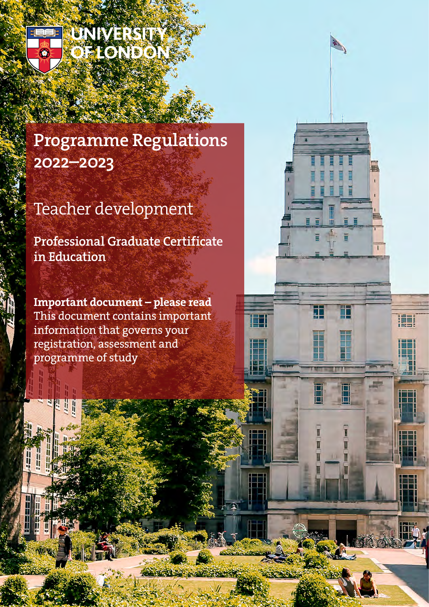

UNIVERSIT DELONDON

# Programme Regulations 2022–2023

# Teacher development

Professional Graduate Certificate in Education

Important document – please read This document contains important information that governs your registration, assessment and programme of study

工

田

H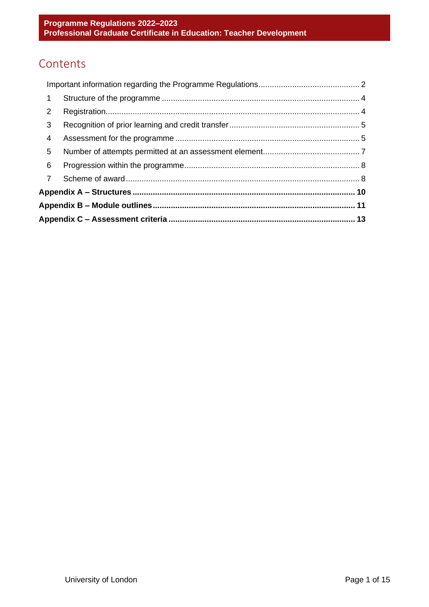## Contents

| $\overline{7}$ |  |  |
|----------------|--|--|
| 6              |  |  |
| 5              |  |  |
| 4              |  |  |
| 3              |  |  |
| 2              |  |  |
| $\mathbf{1}$   |  |  |
|                |  |  |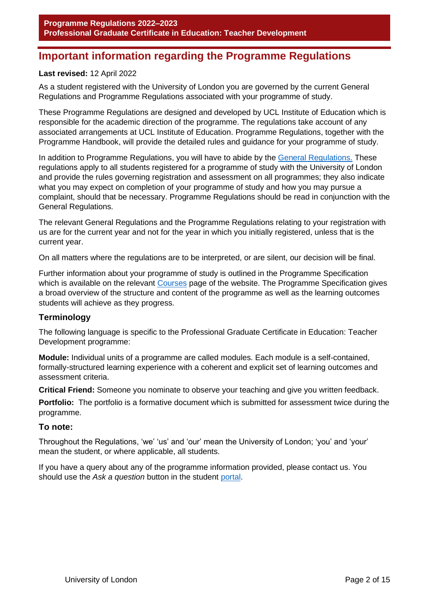## <span id="page-2-0"></span>**Important information regarding the Programme Regulations**

#### **Last revised:** 12 April 2022

As a student registered with the University of London you are governed by the current General Regulations and Programme Regulations associated with your programme of study.

These Programme Regulations are designed and developed by UCL Institute of Education which is responsible for the academic direction of the programme. The regulations take account of any associated arrangements at UCL Institute of Education. Programme Regulations, together with the Programme Handbook, will provide the detailed rules and guidance for your programme of study.

In addition to Programme Regulations, you will have to abide by the [General Regulations.](http://www.london.ac.uk/regs) These regulations apply to all students registered for a programme of study with the University of London and provide the rules governing registration and assessment on all programmes; they also indicate what you may expect on completion of your programme of study and how you may pursue a complaint, should that be necessary. Programme Regulations should be read in conjunction with the General Regulations.

The relevant General Regulations and the Programme Regulations relating to your registration with us are for the current year and not for the year in which you initially registered, unless that is the current year.

On all matters where the regulations are to be interpreted, or are silent, our decision will be final.

Further information about your programme of study is outlined in the Programme Specification which is available on the relevant [Courses](https://london.ac.uk/courses/search) page of the website. The Programme Specification gives a broad overview of the structure and content of the programme as well as the learning outcomes students will achieve as they progress.

#### **Terminology**

The following language is specific to the Professional Graduate Certificate in Education: Teacher Development programme:

**Module:** Individual units of a programme are called modules. Each module is a self-contained, formally-structured learning experience with a coherent and explicit set of learning outcomes and assessment criteria.

**Critical Friend:** Someone you nominate to observe your teaching and give you written feedback.

**Portfolio:** The portfolio is a formative document which is submitted for assessment twice during the programme.

#### **To note:**

Throughout the Regulations, 'we' 'us' and 'our' mean the University of London; 'you' and 'your' mean the student, or where applicable, all students.

If you have a query about any of the programme information provided, please contact us. You should use the *Ask a question* button in the student [portal.](https://my.london.ac.uk/)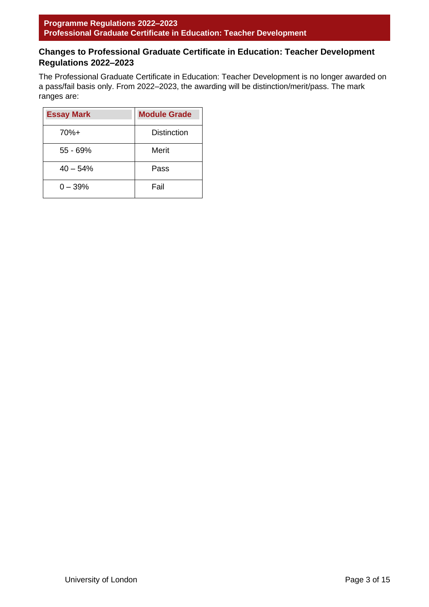### **Changes to Professional Graduate Certificate in Education: Teacher Development Regulations 2022–2023**

The Professional Graduate Certificate in Education: Teacher Development is no longer awarded on a pass/fail basis only. From 2022–2023, the awarding will be distinction/merit/pass. The mark ranges are:

| <b>Essay Mark</b> | <b>Module Grade</b> |
|-------------------|---------------------|
| 70%+              | <b>Distinction</b>  |
| 55 - 69%          | Merit               |
| $40 - 54%$        | Pass                |
| $0 - 39%$         | Fail                |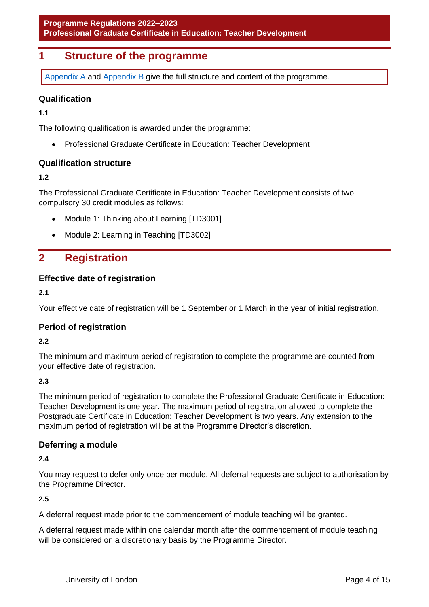## <span id="page-4-0"></span>**1 Structure of the programme**

[Appendix A](#page-10-1) and [Appendix B](#page-11-1) give the full structure and content of the programme.

#### **Qualification**

**1.1**

The following qualification is awarded under the programme:

• Professional Graduate Certificate in Education: Teacher Development

#### **Qualification structure**

**1.2**

The Professional Graduate Certificate in Education: Teacher Development consists of two compulsory 30 credit modules as follows:

- Module 1: Thinking about Learning [TD3001]
- Module 2: Learning in Teaching [TD3002]

### <span id="page-4-1"></span>**2 Registration**

#### **Effective date of registration**

**2.1**

Your effective date of registration will be 1 September or 1 March in the year of initial registration.

#### **Period of registration**

**2.2**

The minimum and maximum period of registration to complete the programme are counted from your effective date of registration.

#### **2.3**

The minimum period of registration to complete the Professional Graduate Certificate in Education: Teacher Development is one year. The maximum period of registration allowed to complete the Postgraduate Certificate in Education: Teacher Development is two years. Any extension to the maximum period of registration will be at the Programme Director's discretion.

#### **Deferring a module**

**2.4**

You may request to defer only once per module. All deferral requests are subject to authorisation by the Programme Director.

**2.5**

A deferral request made prior to the commencement of module teaching will be granted.

A deferral request made within one calendar month after the commencement of module teaching will be considered on a discretionary basis by the Programme Director.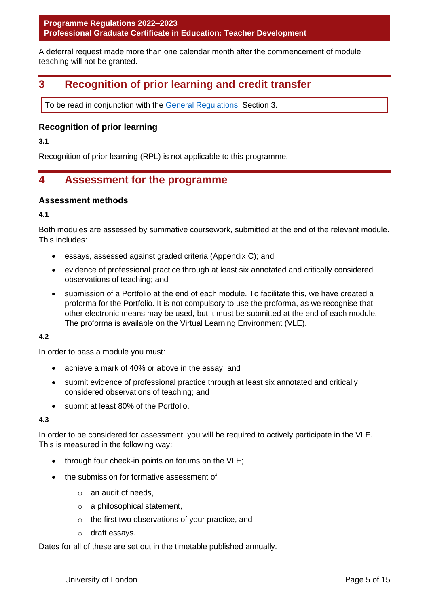**Programme Regulations 2022–2023 Professional Graduate Certificate in Education: Teacher Development**

A deferral request made more than one calendar month after the commencement of module teaching will not be granted.

## <span id="page-5-0"></span>**3 Recognition of prior learning and credit transfer**

To be read in conjunction with the [General Regulations,](http://www.london.ac.uk/regs) Section 3.

#### **Recognition of prior learning**

**3.1**

Recognition of prior learning (RPL) is not applicable to this programme.

## <span id="page-5-1"></span>**4 Assessment for the programme**

#### **Assessment methods**

**4.1**

Both modules are assessed by summative coursework, submitted at the end of the relevant module. This includes:

- essays, assessed against graded criteria (Appendix C); and
- evidence of professional practice through at least six annotated and critically considered observations of teaching; and
- submission of a Portfolio at the end of each module. To facilitate this, we have created a proforma for the Portfolio. It is not compulsory to use the proforma, as we recognise that other electronic means may be used, but it must be submitted at the end of each module. The proforma is available on the Virtual Learning Environment (VLE).

#### **4.2**

In order to pass a module you must:

- achieve a mark of 40% or above in the essay; and
- submit evidence of professional practice through at least six annotated and critically considered observations of teaching; and
- submit at least 80% of the Portfolio.

#### **4.3**

In order to be considered for assessment, you will be required to actively participate in the VLE. This is measured in the following way:

- through four check-in points on forums on the VLE;
- the submission for formative assessment of
	- o an audit of needs,
	- o a philosophical statement,
	- o the first two observations of your practice, and
	- o draft essays.

Dates for all of these are set out in the timetable published annually.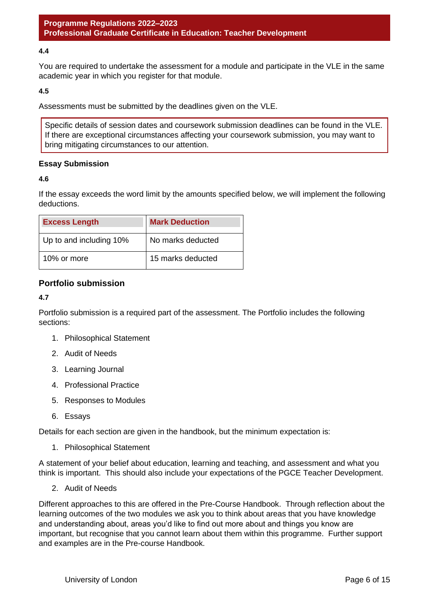#### **4.4**

You are required to undertake the assessment for a module and participate in the VLE in the same academic year in which you register for that module.

#### **4.5**

Assessments must be submitted by the deadlines given on the VLE.

Specific details of session dates and coursework submission deadlines can be found in the VLE. If there are exceptional circumstances affecting your coursework submission, you may want to bring mitigating circumstances to our attention.

#### **Essay Submission**

#### **4.6**

If the essay exceeds the word limit by the amounts specified below, we will implement the following deductions.

| <b>Excess Length</b>    | <b>Mark Deduction</b> |
|-------------------------|-----------------------|
| Up to and including 10% | No marks deducted     |
| 10% or more             | 15 marks deducted     |

#### **Portfolio submission**

#### **4.7**

Portfolio submission is a required part of the assessment. The Portfolio includes the following sections:

- 1. Philosophical Statement
- 2. Audit of Needs
- 3. Learning Journal
- 4. Professional Practice
- 5. Responses to Modules
- 6. Essays

Details for each section are given in the handbook, but the minimum expectation is:

1. Philosophical Statement

A statement of your belief about education, learning and teaching, and assessment and what you think is important. This should also include your expectations of the PGCE Teacher Development.

2. Audit of Needs

Different approaches to this are offered in the Pre-Course Handbook. Through reflection about the learning outcomes of the two modules we ask you to think about areas that you have knowledge and understanding about, areas you'd like to find out more about and things you know are important, but recognise that you cannot learn about them within this programme. Further support and examples are in the Pre-course Handbook.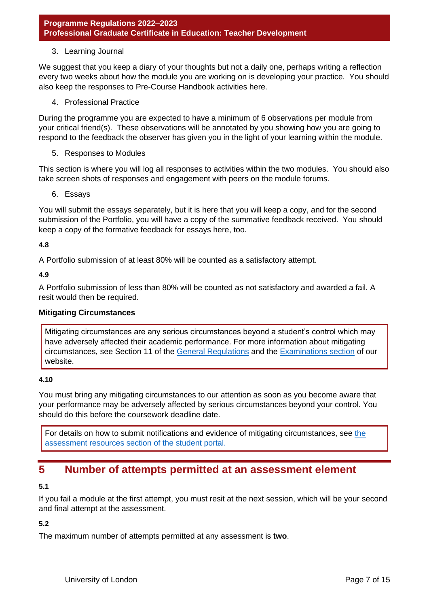#### 3. Learning Journal

We suggest that you keep a diary of your thoughts but not a daily one, perhaps writing a reflection every two weeks about how the module you are working on is developing your practice. You should also keep the responses to Pre-Course Handbook activities here.

4. Professional Practice

During the programme you are expected to have a minimum of 6 observations per module from your critical friend(s). These observations will be annotated by you showing how you are going to respond to the feedback the observer has given you in the light of your learning within the module.

5. Responses to Modules

This section is where you will log all responses to activities within the two modules. You should also take screen shots of responses and engagement with peers on the module forums.

6. Essays

You will submit the essays separately, but it is here that you will keep a copy, and for the second submission of the Portfolio, you will have a copy of the summative feedback received. You should keep a copy of the formative feedback for essays here, too.

#### **4.8**

A Portfolio submission of at least 80% will be counted as a satisfactory attempt.

#### **4.9**

A Portfolio submission of less than 80% will be counted as not satisfactory and awarded a fail. A resit would then be required.

#### **Mitigating Circumstances**

Mitigating circumstances are any serious circumstances beyond a student's control which may have adversely affected their academic performance. For more information about mitigating circumstances, see Section 11 of the [General Regulations](https://london.ac.uk/current-students/programme-documents/regulations) and the [Examinations section](https://london.ac.uk/current-students/examinations) of our website.

#### **4.10**

You must bring any mitigating circumstances to our attention as soon as you become aware that your performance may be adversely affected by serious circumstances beyond your control. You should do this before the coursework deadline date.

For details on how to submit notifications and evidence of mitigating circumstances, see the [assessment resources section of the student portal.](https://my.london.ac.uk/submitting-evidence-of-mitigating-circumstances)

## <span id="page-7-0"></span>**5 Number of attempts permitted at an assessment element**

#### **5.1**

If you fail a module at the first attempt, you must resit at the next session, which will be your second and final attempt at the assessment.

#### **5.2**

The maximum number of attempts permitted at any assessment is **two**.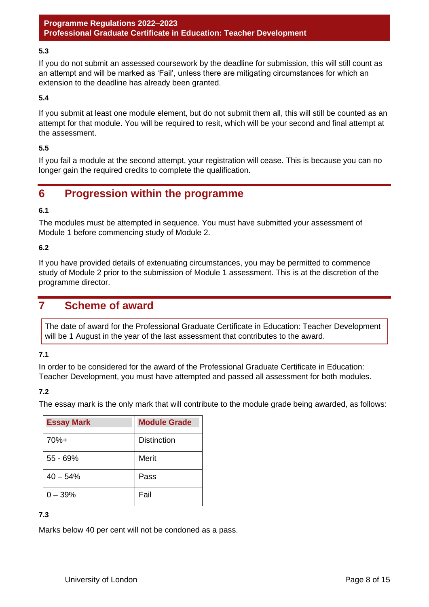#### **5.3**

If you do not submit an assessed coursework by the deadline for submission, this will still count as an attempt and will be marked as 'Fail', unless there are mitigating circumstances for which an extension to the deadline has already been granted.

#### **5.4**

If you submit at least one module element, but do not submit them all, this will still be counted as an attempt for that module. You will be required to resit, which will be your second and final attempt at the assessment.

#### **5.5**

If you fail a module at the second attempt, your registration will cease. This is because you can no longer gain the required credits to complete the qualification.

## <span id="page-8-0"></span>**6 Progression within the programme**

#### **6.1**

The modules must be attempted in sequence. You must have submitted your assessment of Module 1 before commencing study of Module 2.

#### **6.2**

If you have provided details of extenuating circumstances, you may be permitted to commence study of Module 2 prior to the submission of Module 1 assessment. This is at the discretion of the programme director.

### <span id="page-8-1"></span>**7 Scheme of award**

The date of award for the Professional Graduate Certificate in Education: Teacher Development will be 1 August in the year of the last assessment that contributes to the award.

#### **7.1**

In order to be considered for the award of the Professional Graduate Certificate in Education: Teacher Development, you must have attempted and passed all assessment for both modules.

#### **7.2**

The essay mark is the only mark that will contribute to the module grade being awarded, as follows:

| <b>Essay Mark</b> | <b>Module Grade</b> |
|-------------------|---------------------|
| 70%+              | <b>Distinction</b>  |
| $55 - 69%$        | Merit               |
| $40 - 54%$        | Pass                |
| $0 - 39%$         | Fail                |

**7.3**

Marks below 40 per cent will not be condoned as a pass.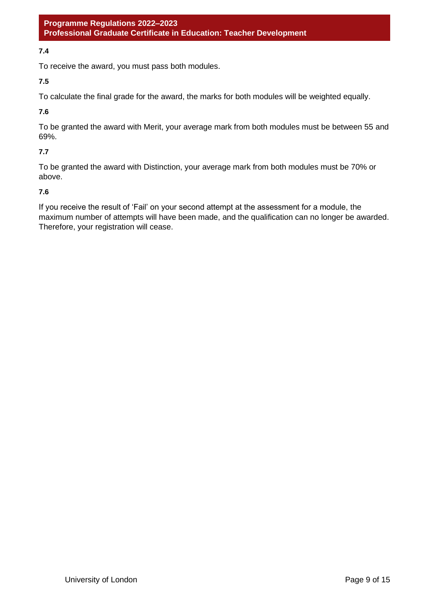#### **7.4**

To receive the award, you must pass both modules.

**7.5**

To calculate the final grade for the award, the marks for both modules will be weighted equally.

**7.6**

To be granted the award with Merit, your average mark from both modules must be between 55 and 69%.

#### **7.7**

To be granted the award with Distinction, your average mark from both modules must be 70% or above.

#### **7.6**

If you receive the result of 'Fail' on your second attempt at the assessment for a module, the maximum number of attempts will have been made, and the qualification can no longer be awarded. Therefore, your registration will cease.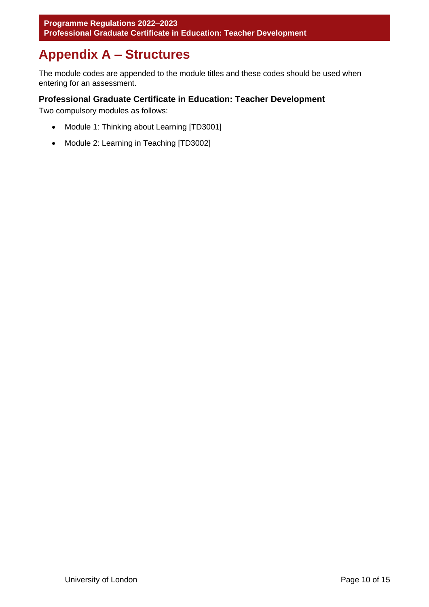## <span id="page-10-0"></span>**Appendix A – Structures**

<span id="page-10-1"></span>The module codes are appended to the module titles and these codes should be used when entering for an assessment.

#### **Professional Graduate Certificate in Education: Teacher Development**

Two compulsory modules as follows:

- Module 1: Thinking about Learning [TD3001]
- Module 2: Learning in Teaching [TD3002]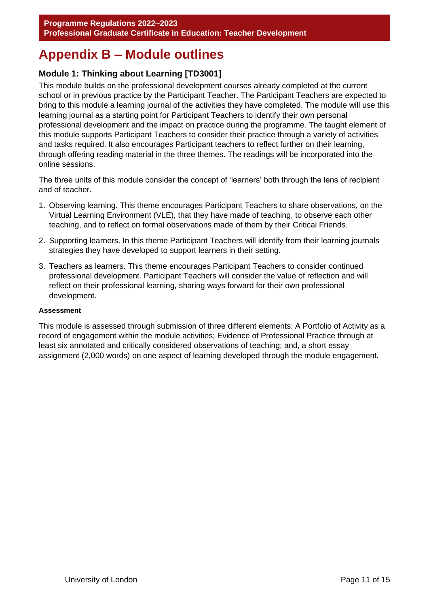## <span id="page-11-0"></span>**Appendix B – Module outlines**

### <span id="page-11-1"></span>**Module 1: Thinking about Learning [TD3001]**

This module builds on the professional development courses already completed at the current school or in previous practice by the Participant Teacher. The Participant Teachers are expected to bring to this module a learning journal of the activities they have completed. The module will use this learning journal as a starting point for Participant Teachers to identify their own personal professional development and the impact on practice during the programme. The taught element of this module supports Participant Teachers to consider their practice through a variety of activities and tasks required. It also encourages Participant teachers to reflect further on their learning, through offering reading material in the three themes. The readings will be incorporated into the online sessions.

The three units of this module consider the concept of 'learners' both through the lens of recipient and of teacher.

- 1. Observing learning. This theme encourages Participant Teachers to share observations, on the Virtual Learning Environment (VLE), that they have made of teaching, to observe each other teaching, and to reflect on formal observations made of them by their Critical Friends.
- 2. Supporting learners. In this theme Participant Teachers will identify from their learning journals strategies they have developed to support learners in their setting.
- 3. Teachers as learners. This theme encourages Participant Teachers to consider continued professional development. Participant Teachers will consider the value of reflection and will reflect on their professional learning, sharing ways forward for their own professional development.

#### **Assessment**

This module is assessed through submission of three different elements: A Portfolio of Activity as a record of engagement within the module activities; Evidence of Professional Practice through at least six annotated and critically considered observations of teaching; and, a short essay assignment (2,000 words) on one aspect of learning developed through the module engagement.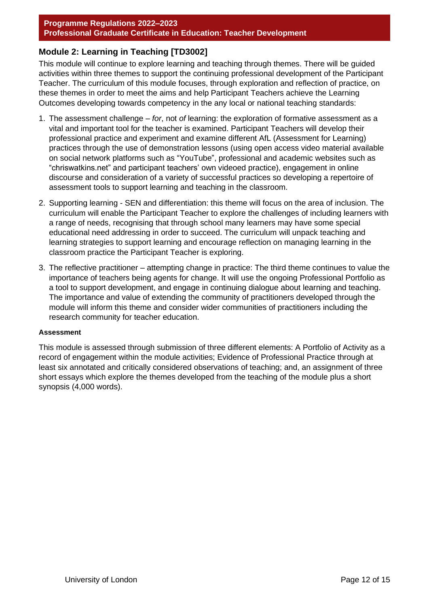#### **Programme Regulations 2022–2023 Professional Graduate Certificate in Education: Teacher Development**

#### **Module 2: Learning in Teaching [TD3002]**

This module will continue to explore learning and teaching through themes. There will be guided activities within three themes to support the continuing professional development of the Participant Teacher. The curriculum of this module focuses, through exploration and reflection of practice, on these themes in order to meet the aims and help Participant Teachers achieve the Learning Outcomes developing towards competency in the any local or national teaching standards:

- 1. The assessment challenge *for*, not *of* learning: the exploration of formative assessment as a vital and important tool for the teacher is examined. Participant Teachers will develop their professional practice and experiment and examine different AfL (Assessment for Learning) practices through the use of demonstration lessons (using open access video material available on social network platforms such as "YouTube", professional and academic websites such as "chriswatkins.net" and participant teachers' own videoed practice), engagement in online discourse and consideration of a variety of successful practices so developing a repertoire of assessment tools to support learning and teaching in the classroom.
- 2. Supporting learning SEN and differentiation: this theme will focus on the area of inclusion. The curriculum will enable the Participant Teacher to explore the challenges of including learners with a range of needs, recognising that through school many learners may have some special educational need addressing in order to succeed. The curriculum will unpack teaching and learning strategies to support learning and encourage reflection on managing learning in the classroom practice the Participant Teacher is exploring.
- 3. The reflective practitioner attempting change in practice: The third theme continues to value the importance of teachers being agents for change. It will use the ongoing Professional Portfolio as a tool to support development, and engage in continuing dialogue about learning and teaching. The importance and value of extending the community of practitioners developed through the module will inform this theme and consider wider communities of practitioners including the research community for teacher education.

#### **Assessment**

This module is assessed through submission of three different elements: A Portfolio of Activity as a record of engagement within the module activities; Evidence of Professional Practice through at least six annotated and critically considered observations of teaching; and, an assignment of three short essays which explore the themes developed from the teaching of the module plus a short synopsis (4,000 words).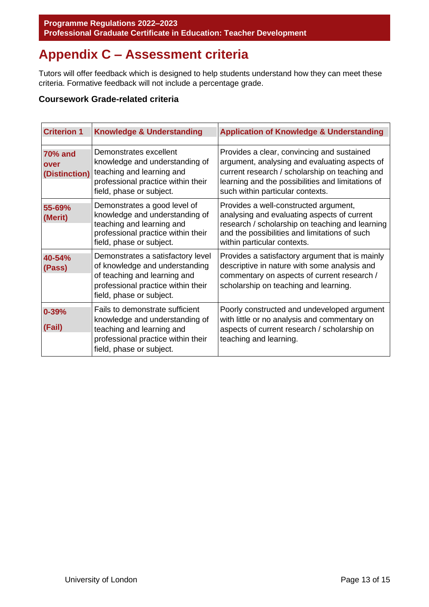## <span id="page-13-0"></span>**Appendix C – Assessment criteria**

Tutors will offer feedback which is designed to help students understand how they can meet these criteria. Formative feedback will not include a percentage grade.

#### **Coursework Grade-related criteria**

| <b>Criterion 1</b>                      | <b>Knowledge &amp; Understanding</b>                                                                                                                                  | <b>Application of Knowledge &amp; Understanding</b>                                                                                                                                                                                    |
|-----------------------------------------|-----------------------------------------------------------------------------------------------------------------------------------------------------------------------|----------------------------------------------------------------------------------------------------------------------------------------------------------------------------------------------------------------------------------------|
| <b>70% and</b><br>over<br>(Distinction) | Demonstrates excellent<br>knowledge and understanding of<br>teaching and learning and<br>professional practice within their<br>field, phase or subject.               | Provides a clear, convincing and sustained<br>argument, analysing and evaluating aspects of<br>current research / scholarship on teaching and<br>learning and the possibilities and limitations of<br>such within particular contexts. |
| 55-69%<br>(Merit)                       | Demonstrates a good level of<br>knowledge and understanding of<br>teaching and learning and<br>professional practice within their<br>field, phase or subject.         | Provides a well-constructed argument,<br>analysing and evaluating aspects of current<br>research / scholarship on teaching and learning<br>and the possibilities and limitations of such<br>within particular contexts.                |
| 40-54%<br>(Pass)                        | Demonstrates a satisfactory level<br>of knowledge and understanding<br>of teaching and learning and<br>professional practice within their<br>field, phase or subject. | Provides a satisfactory argument that is mainly<br>descriptive in nature with some analysis and<br>commentary on aspects of current research /<br>scholarship on teaching and learning.                                                |
| $0 - 39%$<br>(Fail)                     | Fails to demonstrate sufficient<br>knowledge and understanding of<br>teaching and learning and<br>professional practice within their<br>field, phase or subject.      | Poorly constructed and undeveloped argument<br>with little or no analysis and commentary on<br>aspects of current research / scholarship on<br>teaching and learning.                                                                  |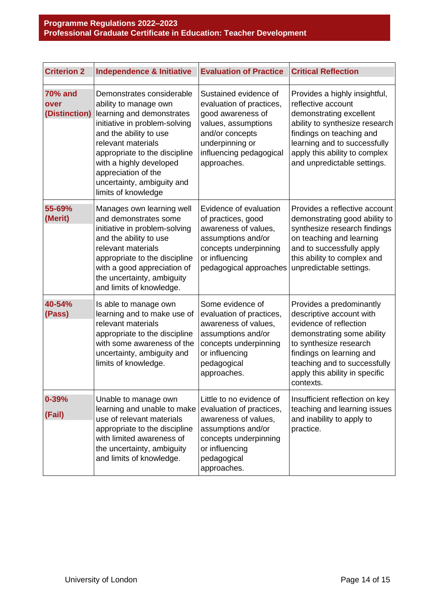| <b>Criterion 2</b>     | <b>Independence &amp; Initiative</b>                                                                                                                                                                                                                                                                                   | <b>Evaluation of Practice</b>                                                                                                                                                 | <b>Critical Reflection</b>                                                                                                                                                                                                                        |
|------------------------|------------------------------------------------------------------------------------------------------------------------------------------------------------------------------------------------------------------------------------------------------------------------------------------------------------------------|-------------------------------------------------------------------------------------------------------------------------------------------------------------------------------|---------------------------------------------------------------------------------------------------------------------------------------------------------------------------------------------------------------------------------------------------|
| <b>70% and</b><br>over | Demonstrates considerable<br>ability to manage own<br>(Distinction) learning and demonstrates<br>initiative in problem-solving<br>and the ability to use<br>relevant materials<br>appropriate to the discipline<br>with a highly developed<br>appreciation of the<br>uncertainty, ambiguity and<br>limits of knowledge | Sustained evidence of<br>evaluation of practices,<br>good awareness of<br>values, assumptions<br>and/or concepts<br>underpinning or<br>influencing pedagogical<br>approaches. | Provides a highly insightful,<br>reflective account<br>demonstrating excellent<br>ability to synthesize research<br>findings on teaching and<br>learning and to successfully<br>apply this ability to complex<br>and unpredictable settings.      |
| 55-69%<br>(Merit)      | Manages own learning well<br>and demonstrates some<br>initiative in problem-solving<br>and the ability to use<br>relevant materials<br>appropriate to the discipline<br>with a good appreciation of<br>the uncertainty, ambiguity<br>and limits of knowledge.                                                          | Evidence of evaluation<br>of practices, good<br>awareness of values,<br>assumptions and/or<br>concepts underpinning<br>or influencing<br>pedagogical approaches               | Provides a reflective account<br>demonstrating good ability to<br>synthesize research findings<br>on teaching and learning<br>and to successfully apply<br>this ability to complex and<br>unpredictable settings.                                 |
| 40-54%<br>(Pass)       | Is able to manage own<br>learning and to make use of<br>relevant materials<br>appropriate to the discipline<br>with some awareness of the<br>uncertainty, ambiguity and<br>limits of knowledge.                                                                                                                        | Some evidence of<br>evaluation of practices,<br>awareness of values,<br>assumptions and/or<br>concepts underpinning<br>or influencing<br>pedagogical<br>approaches.           | Provides a predominantly<br>descriptive account with<br>evidence of reflection<br>demonstrating some ability<br>to synthesize research<br>findings on learning and<br>teaching and to successfully<br>apply this ability in specific<br>contexts. |
| $0 - 39%$<br>(Fail)    | Unable to manage own<br>learning and unable to make<br>use of relevant materials<br>appropriate to the discipline<br>with limited awareness of<br>the uncertainty, ambiguity<br>and limits of knowledge.                                                                                                               | Little to no evidence of<br>evaluation of practices,<br>awareness of values,<br>assumptions and/or<br>concepts underpinning<br>or influencing<br>pedagogical<br>approaches.   | Insufficient reflection on key<br>teaching and learning issues<br>and inability to apply to<br>practice.                                                                                                                                          |